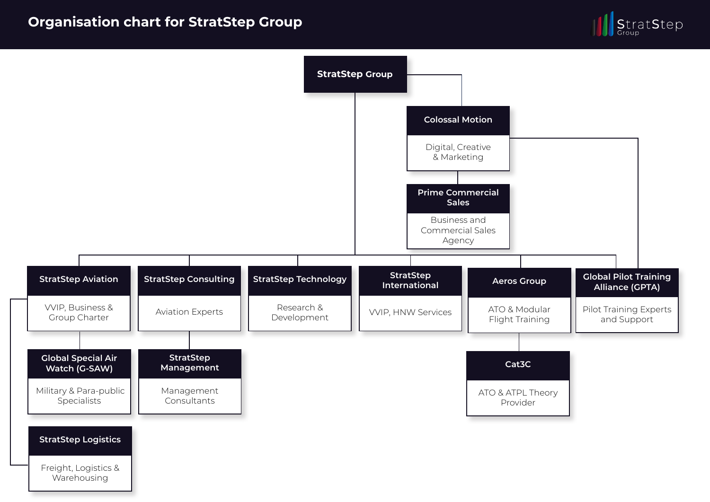## **Organisation chart for StratStep Group**